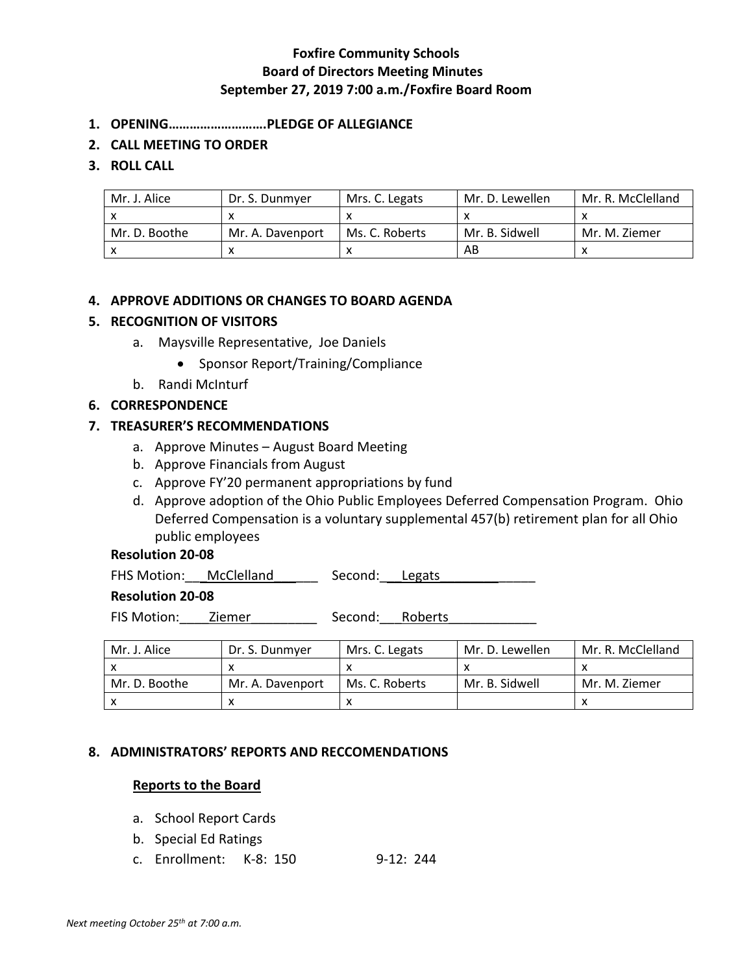# **Foxfire Community Schools Board of Directors Meeting Minutes September 27, 2019 7:00 a.m./Foxfire Board Room**

- **1. OPENING……………………….PLEDGE OF ALLEGIANCE**
- **2. CALL MEETING TO ORDER**

# **3. ROLL CALL**

| Mr. J. Alice  | Dr. S. Dunmyer   | Mrs. C. Legats | Mr. D. Lewellen | Mr. R. McClelland |
|---------------|------------------|----------------|-----------------|-------------------|
|               |                  |                |                 |                   |
| Mr. D. Boothe | Mr. A. Davenport | Ms. C. Roberts | Mr. B. Sidwell  | Mr. M. Ziemer     |
|               |                  |                | AB              |                   |

# **4. APPROVE ADDITIONS OR CHANGES TO BOARD AGENDA**

#### **5. RECOGNITION OF VISITORS**

- a. Maysville Representative, Joe Daniels
	- Sponsor Report/Training/Compliance
- b. Randi McInturf

# **6. CORRESPONDENCE**

# **7. TREASURER'S RECOMMENDATIONS**

- a. Approve Minutes August Board Meeting
- b. Approve Financials from August
- c. Approve FY'20 permanent appropriations by fund
- d. Approve adoption of the Ohio Public Employees Deferred Compensation Program. Ohio Deferred Compensation is a voluntary supplemental 457(b) retirement plan for all Ohio public employees

# **Resolution 20-08**

| McClelland<br><b>FHS Motion:</b> | Second: Legats |  |  |
|----------------------------------|----------------|--|--|
|----------------------------------|----------------|--|--|

### **Resolution 20-08**

FIS Motion: \_\_\_\_\_Ziemer \_\_\_\_\_\_\_\_\_\_\_\_\_\_\_\_\_ Second: \_\_\_Roberts

| Mr. J. Alice  | Dr. S. Dunmver   | Mrs. C. Legats | Mr. D. Lewellen | Mr. R. McClelland |
|---------------|------------------|----------------|-----------------|-------------------|
|               |                  |                |                 |                   |
| Mr. D. Boothe | Mr. A. Davenport | Ms. C. Roberts | Mr. B. Sidwell  | Mr. M. Ziemer     |
|               |                  |                |                 |                   |

#### **8. ADMINISTRATORS' REPORTS AND RECCOMENDATIONS**

# **Reports to the Board**

- a. School Report Cards
- b. Special Ed Ratings
- c. Enrollment: K-8: 150 9-12: 244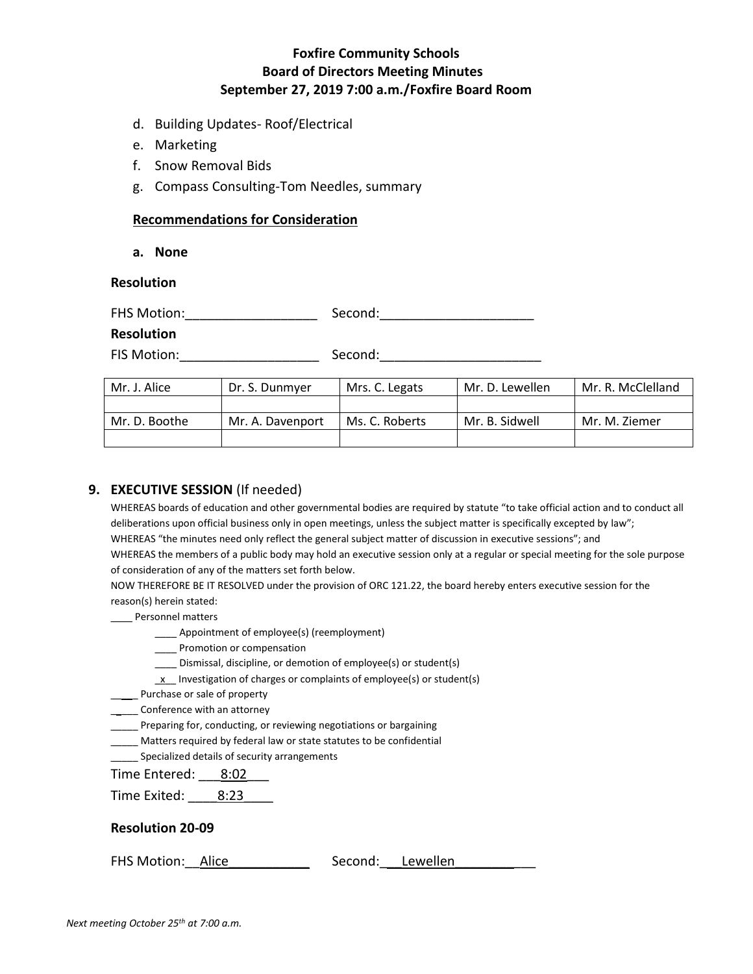# **Foxfire Community Schools Board of Directors Meeting Minutes September 27, 2019 7:00 a.m./Foxfire Board Room**

- d. Building Updates- Roof/Electrical
- e. Marketing
- f. Snow Removal Bids
- g. Compass Consulting-Tom Needles, summary

#### **Recommendations for Consideration**

**a. None**

### **Resolution**

FHS Motion: The Second: The Second:

#### **Resolution**

FIS Motion:\_\_\_\_\_\_\_\_\_\_\_\_\_\_\_\_\_\_\_ Second:\_\_\_\_\_\_\_\_\_\_\_\_\_\_\_\_\_\_\_\_\_\_

| :Second |  |
|---------|--|
|         |  |
|         |  |

| Mr. J. Alice  | Dr. S. Dunmver   | Mrs. C. Legats | Mr. D. Lewellen | Mr. R. McClelland |
|---------------|------------------|----------------|-----------------|-------------------|
|               |                  |                |                 |                   |
| Mr. D. Boothe | Mr. A. Davenport | Ms. C. Roberts | Mr. B. Sidwell  | Mr. M. Ziemer     |
|               |                  |                |                 |                   |

# **9. EXECUTIVE SESSION** (If needed)

WHEREAS boards of education and other governmental bodies are required by statute "to take official action and to conduct all deliberations upon official business only in open meetings, unless the subject matter is specifically excepted by law"; WHEREAS "the minutes need only reflect the general subject matter of discussion in executive sessions"; and WHEREAS the members of a public body may hold an executive session only at a regular or special meeting for the sole purpose of consideration of any of the matters set forth below.

NOW THEREFORE BE IT RESOLVED under the provision of ORC 121.22, the board hereby enters executive session for the reason(s) herein stated:

- \_\_\_ Personnel matters
	- \_\_\_\_ Appointment of employee(s) (reemployment)
	- \_\_\_\_ Promotion or compensation
	- \_\_\_\_ Dismissal, discipline, or demotion of employee(s) or student(s)
	- $\underline{x}$  Investigation of charges or complaints of employee(s) or student(s)
- Purchase or sale of property
- \_\_ Conference with an attorney
- Preparing for, conducting, or reviewing negotiations or bargaining
- \_\_\_\_\_ Matters required by federal law or state statutes to be confidential
- **Specialized details of security arrangements**

Time Entered: 8:02

Time Exited: 8:23

#### **Resolution 20-09**

FHS Motion: Alice The Second: Lewellen